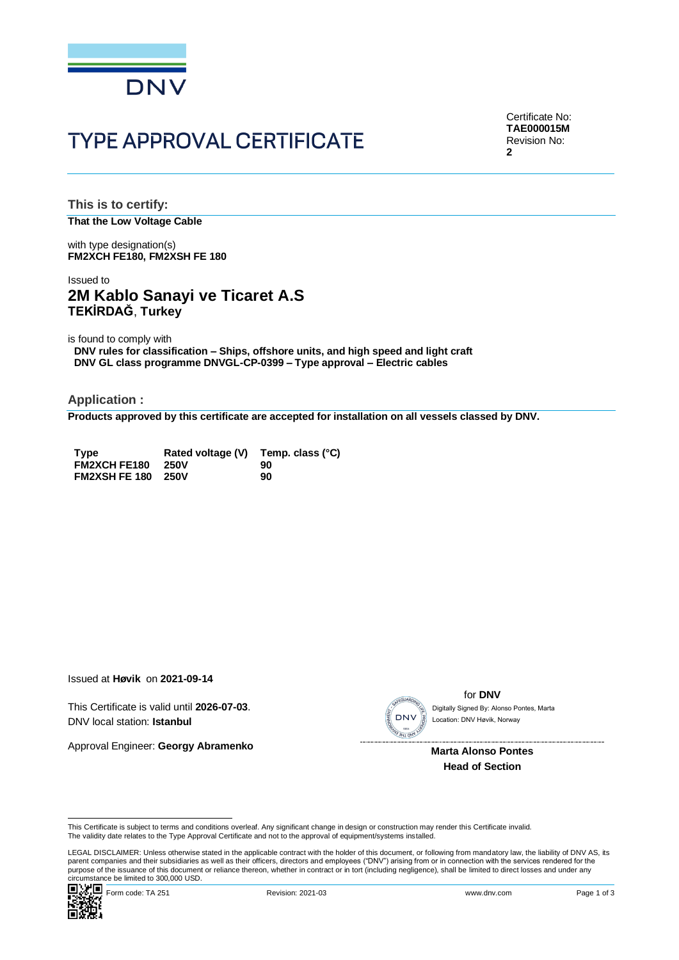

# **TYPE APPROVAL CERTIFICATE**

Certificate No: **TAE000015M** Revision No: **2**

**This is to certify: That the Low Voltage Cable**

with type designation(s) **FM2XCH FE180, FM2XSH FE 180**

## Issued to **2M Kablo Sanayi ve Ticaret A.S TEKİRDAĞ**, **Turkey**

is found to comply with

**DNV rules for classification – Ships, offshore units, and high speed and light craft DNV GL class programme DNVGL-CP-0399 – Type approval – Electric cables**

**Application :**

**Products approved by this certificate are accepted for installation on all vessels classed by DNV.**

| <b>Type</b>               | Rated voltage (V) Temp. class (°C) |    |
|---------------------------|------------------------------------|----|
| <b>FM2XCH FE180</b>       | 250V                               | 90 |
| <b>FM2XSH FE 180 250V</b> |                                    | 90 |

Issued at **Høvik** on **2021-09-14**

This Certificate is valid until **2026-07-03**. DNV local station: **Istanbul**

Approval Engineer: **Georgy Abramenko**



for **DNV** Location: DNV Høvik, Norway

 **Marta Alonso Pontes Head of Section**

LEGAL DISCLAIMER: Unless otherwise stated in the applicable contract with the holder of this document, or following from mandatory law, the liability of DNV AS, its parent companies and their subsidiaries as well as their officers, directors and employees ("DNV") arising from or in connection with the services rendered for the This Certificate is valid Until 2026-07-03.<br>
Approval Engineer: Georgy Abramenko<br>
Marta Alonso Pontes<br>
Head of Section<br>
This Certificate is subject to terms and conditions overleaf. Any significant change in design or cons



This Certificate is subject to terms and conditions overleaf. Any significant change in design or construction may render this Certificate invalid.<br>The validity date relates to the Type Approval Certificate and not to the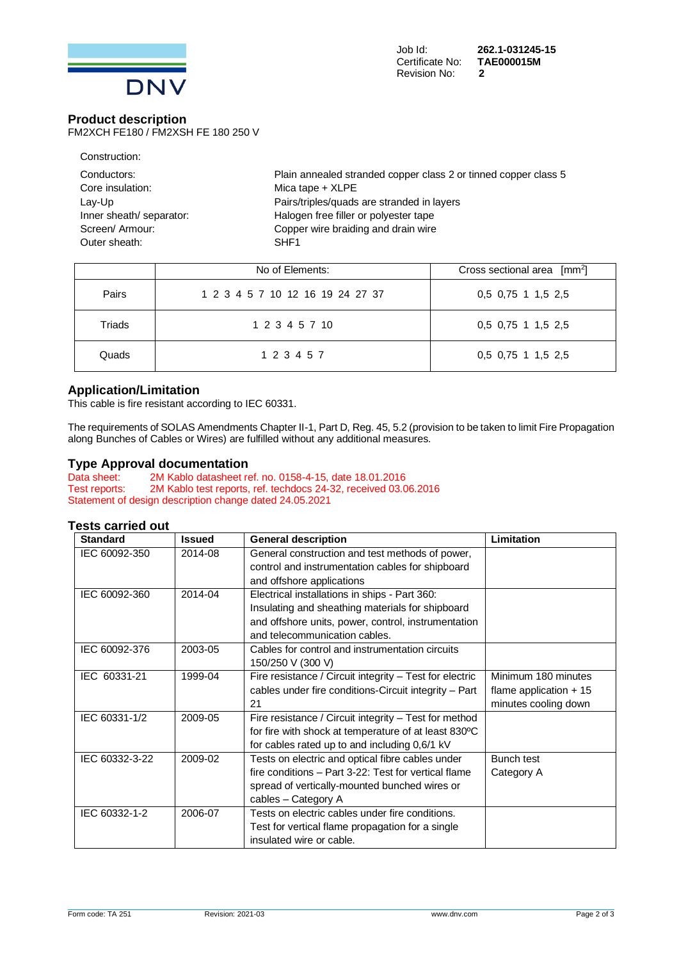

#### **Product description**

FM2XCH FE180 / FM2XSH FE 180 250 V

| Plain annealed stranded copper class 2 or tinned copper class 5 |
|-----------------------------------------------------------------|
| Mica tape $+$ XLPE                                              |
| Pairs/triples/quads are stranded in layers                      |
| Halogen free filler or polyester tape                           |
| Copper wire braiding and drain wire                             |
| SHF1                                                            |
|                                                                 |

|              | No of Elements:                  | Cross sectional area $\lceil mm^2 \rceil$ |
|--------------|----------------------------------|-------------------------------------------|
| <b>Pairs</b> | 1 2 3 4 5 7 10 12 16 19 24 27 37 | $0,5$ 0,75 1 1,5 2,5                      |
| Triads       | 1 2 3 4 5 7 10                   | $0,5$ 0,75 1 1,5 2,5                      |
| Quads        | 1 2 3 4 5 7                      | $0,5$ 0,75 1 1,5 2,5                      |

## **Application/Limitation**

This cable is fire resistant according to IEC 60331.

The requirements of SOLAS Amendments Chapter II-1, Part D, Reg. 45, 5.2 (provision to be taken to limit Fire Propagation along Bunches of Cables or Wires) are fulfilled without any additional measures.

#### **Type Approval documentation**

Data sheet: 2M Kablo datasheet ref. no. 0158-4-15, date 18.01.2016<br>Test reports: 2M Kablo test reports, ref. techdocs 24-32, received 03.0 2M Kablo test reports, ref. techdocs 24-32, received 03.06.2016 Statement of design description change dated 24.05.2021

## **Tests carried out**

| <b>Standard</b> | <b>Issued</b> | <b>General description</b>                              | Limitation              |
|-----------------|---------------|---------------------------------------------------------|-------------------------|
| IEC 60092-350   | 2014-08       | General construction and test methods of power,         |                         |
|                 |               | control and instrumentation cables for shipboard        |                         |
|                 |               | and offshore applications                               |                         |
| IEC 60092-360   | 2014-04       | Electrical installations in ships - Part 360:           |                         |
|                 |               | Insulating and sheathing materials for shipboard        |                         |
|                 |               | and offshore units, power, control, instrumentation     |                         |
|                 |               | and telecommunication cables.                           |                         |
| IEC 60092-376   | 2003-05       | Cables for control and instrumentation circuits         |                         |
|                 |               | 150/250 V (300 V)                                       |                         |
| IEC 60331-21    | 1999-04       | Fire resistance / Circuit integrity - Test for electric | Minimum 180 minutes     |
|                 |               | cables under fire conditions-Circuit integrity - Part   | flame application $+15$ |
|                 |               | 21                                                      | minutes cooling down    |
| IEC 60331-1/2   | 2009-05       | Fire resistance / Circuit integrity - Test for method   |                         |
|                 |               | for fire with shock at temperature of at least 830°C    |                         |
|                 |               | for cables rated up to and including 0,6/1 kV           |                         |
| IEC 60332-3-22  | 2009-02       | Tests on electric and optical fibre cables under        | Bunch test              |
|                 |               | fire conditions - Part 3-22: Test for vertical flame    | Category A              |
|                 |               | spread of vertically-mounted bunched wires or           |                         |
|                 |               | cables - Category A                                     |                         |
| IEC 60332-1-2   | 2006-07       | Tests on electric cables under fire conditions.         |                         |
|                 |               | Test for vertical flame propagation for a single        |                         |
|                 |               | insulated wire or cable.                                |                         |